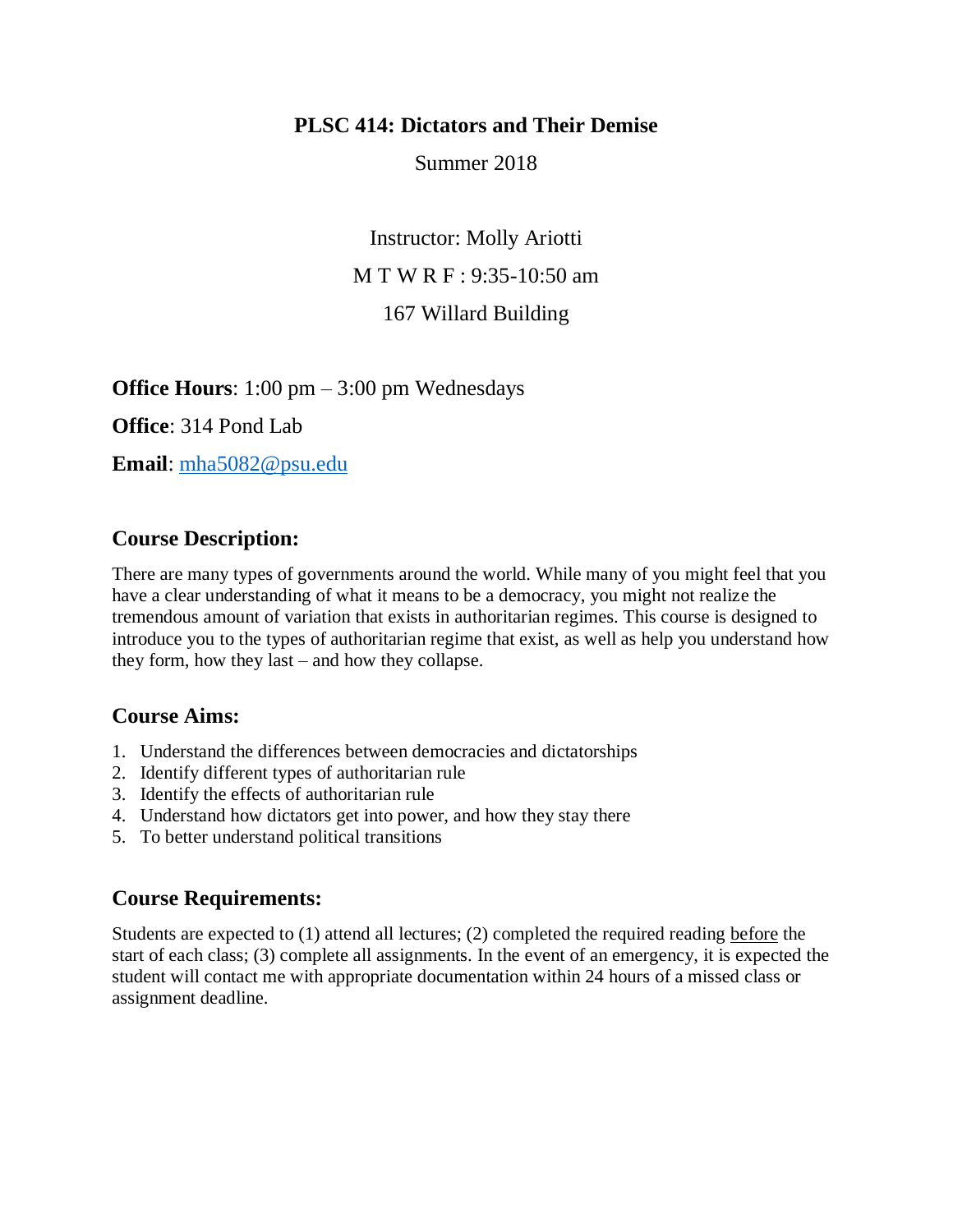## **PLSC 414: Dictators and Their Demise**

Summer 2018

Instructor: Molly Ariotti M T W R F : 9:35-10:50 am 167 Willard Building

**Office Hours**: 1:00 pm – 3:00 pm Wednesdays

**Office**: 314 Pond Lab

**Email**: [mha5082@psu.edu](mailto:mha5082@psu.edu)

# **Course Description:**

There are many types of governments around the world. While many of you might feel that you have a clear understanding of what it means to be a democracy, you might not realize the tremendous amount of variation that exists in authoritarian regimes. This course is designed to introduce you to the types of authoritarian regime that exist, as well as help you understand how they form, how they last – and how they collapse.

# **Course Aims:**

- 1. Understand the differences between democracies and dictatorships
- 2. Identify different types of authoritarian rule
- 3. Identify the effects of authoritarian rule
- 4. Understand how dictators get into power, and how they stay there
- 5. To better understand political transitions

## **Course Requirements:**

Students are expected to (1) attend all lectures; (2) completed the required reading before the start of each class; (3) complete all assignments. In the event of an emergency, it is expected the student will contact me with appropriate documentation within 24 hours of a missed class or assignment deadline.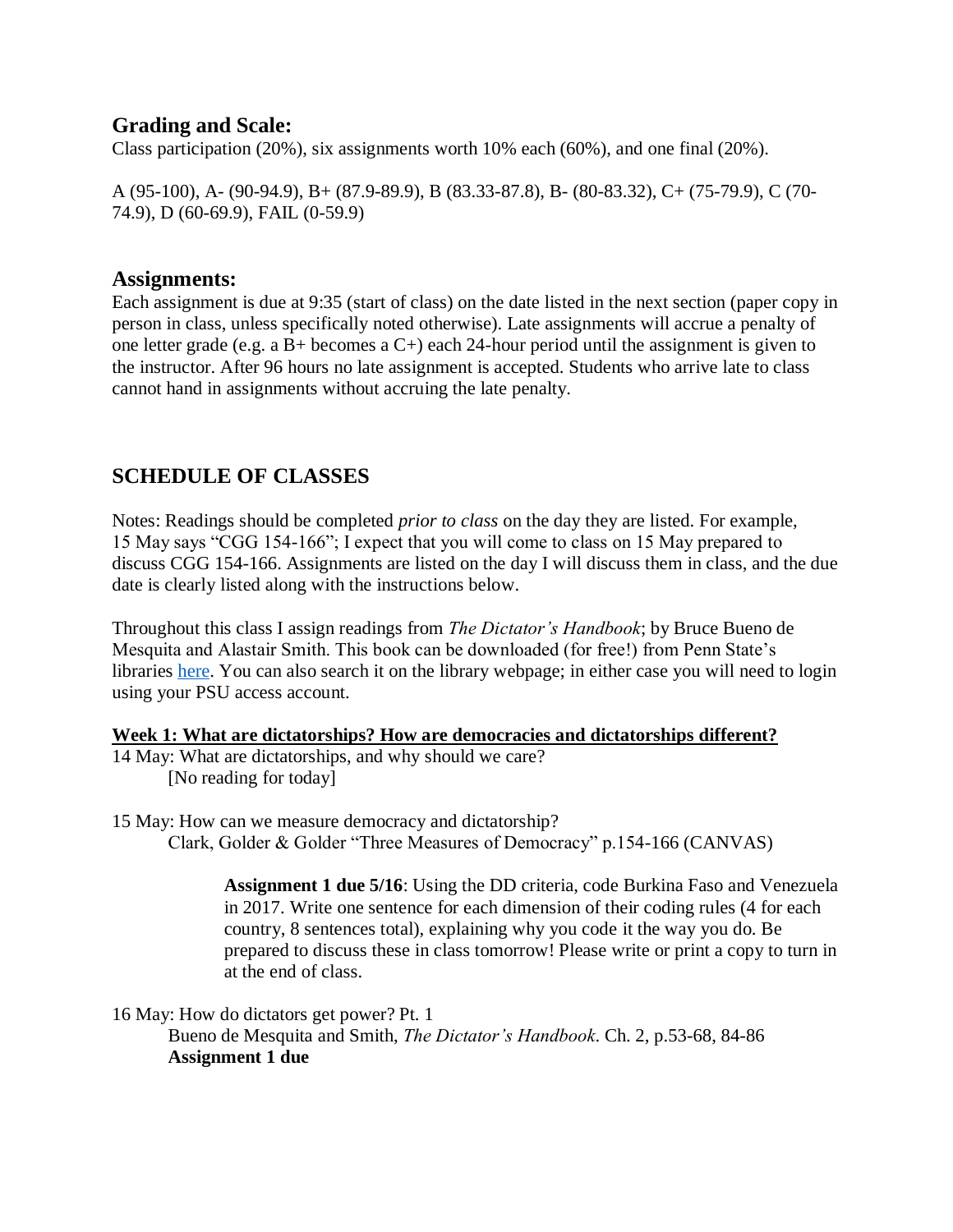# **Grading and Scale:**

Class participation (20%), six assignments worth 10% each (60%), and one final (20%).

A (95-100), A- (90-94.9), B+ (87.9-89.9), B (83.33-87.8), B- (80-83.32), C+ (75-79.9), C (70- 74.9), D (60-69.9), FAIL (0-59.9)

## **Assignments:**

Each assignment is due at 9:35 (start of class) on the date listed in the next section (paper copy in person in class, unless specifically noted otherwise). Late assignments will accrue a penalty of one letter grade (e.g. a B+ becomes a C+) each 24-hour period until the assignment is given to the instructor. After 96 hours no late assignment is accepted. Students who arrive late to class cannot hand in assignments without accruing the late penalty.

# **SCHEDULE OF CLASSES**

Notes: Readings should be completed *prior to class* on the day they are listed. For example, 15 May says "CGG 154-166"; I expect that you will come to class on 15 May prepared to discuss CGG 154-166. Assignments are listed on the day I will discuss them in class, and the due date is clearly listed along with the instructions below.

Throughout this class I assign readings from *The Dictator's Handbook*; by Bruce Bueno de Mesquita and Alastair Smith. This book can be downloaded (for free!) from Penn State's libraries [here.](http://sk8es4mc2l.search.serialssolutions.com/?sid=sersol&SS_jc=TC0000740808&title=The%20Dictator%27s%20Handbook%3A%20Why%20Bad%20Behavior%20Is%20Almost%20Always%20Good%20Politics) You can also search it on the library webpage; in either case you will need to login using your PSU access account.

### **Week 1: What are dictatorships? How are democracies and dictatorships different?**

- 14 May: What are dictatorships, and why should we care? [No reading for today]
- 15 May: How can we measure democracy and dictatorship? Clark, Golder & Golder "Three Measures of Democracy" p.154-166 (CANVAS)

**Assignment 1 due 5/16**: Using the DD criteria, code Burkina Faso and Venezuela in 2017. Write one sentence for each dimension of their coding rules (4 for each country, 8 sentences total), explaining why you code it the way you do. Be prepared to discuss these in class tomorrow! Please write or print a copy to turn in at the end of class.

16 May: How do dictators get power? Pt. 1

Bueno de Mesquita and Smith, *The Dictator's Handbook*. Ch. 2, p.53-68, 84-86 **Assignment 1 due**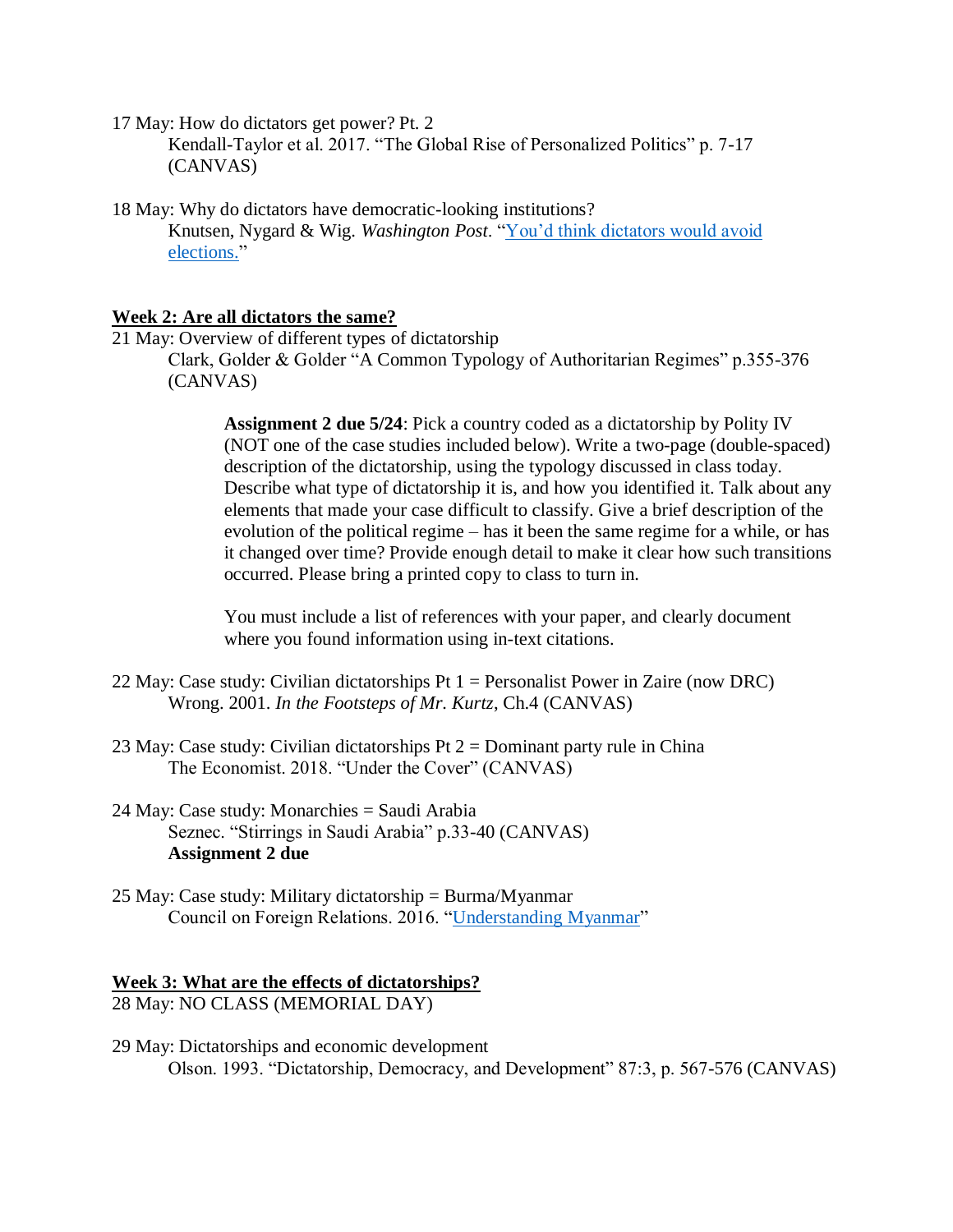17 May: How do dictators get power? Pt. 2

Kendall-Taylor et al. 2017. "The Global Rise of Personalized Politics" p. 7-17 (CANVAS)

18 May: Why do dictators have democratic-looking institutions? Knutsen, Nygard & Wig. *Washington Post*. ["You'd think dictators would avoid](https://www.washingtonpost.com/news/monkey-cage/wp/2017/03/14/youd-think-dictators-would-avoid-elections-heres-why-they-dont/?utm_term=.4c9e105c7bc3)  [elections."](https://www.washingtonpost.com/news/monkey-cage/wp/2017/03/14/youd-think-dictators-would-avoid-elections-heres-why-they-dont/?utm_term=.4c9e105c7bc3)

### **Week 2: Are all dictators the same?**

21 May: Overview of different types of dictatorship Clark, Golder & Golder "A Common Typology of Authoritarian Regimes" p.355-376 (CANVAS)

> **Assignment 2 due 5/24**: Pick a country coded as a dictatorship by Polity IV (NOT one of the case studies included below). Write a two-page (double-spaced) description of the dictatorship, using the typology discussed in class today. Describe what type of dictatorship it is, and how you identified it. Talk about any elements that made your case difficult to classify. Give a brief description of the evolution of the political regime – has it been the same regime for a while, or has it changed over time? Provide enough detail to make it clear how such transitions occurred. Please bring a printed copy to class to turn in.

You must include a list of references with your paper, and clearly document where you found information using in-text citations.

- 22 May: Case study: Civilian dictatorships Pt 1 = Personalist Power in Zaire (now DRC) Wrong. 2001. *In the Footsteps of Mr. Kurtz*, Ch.4 (CANVAS)
- 23 May: Case study: Civilian dictatorships  $Pt 2 =$  Dominant party rule in China The Economist. 2018. "Under the Cover" (CANVAS)
- 24 May: Case study: Monarchies = Saudi Arabia Seznec. "Stirrings in Saudi Arabia" p.33-40 (CANVAS) **Assignment 2 due**
- 25 May: Case study: Military dictatorship = Burma/Myanmar Council on Foreign Relations. 2016. ["Understanding Myanmar"](https://www.cfr.org/backgrounder/understanding-myanmar)

#### **Week 3: What are the effects of dictatorships?** 28 May: NO CLASS (MEMORIAL DAY)

29 May: Dictatorships and economic development Olson. 1993. "Dictatorship, Democracy, and Development" 87:3, p. 567-576 (CANVAS)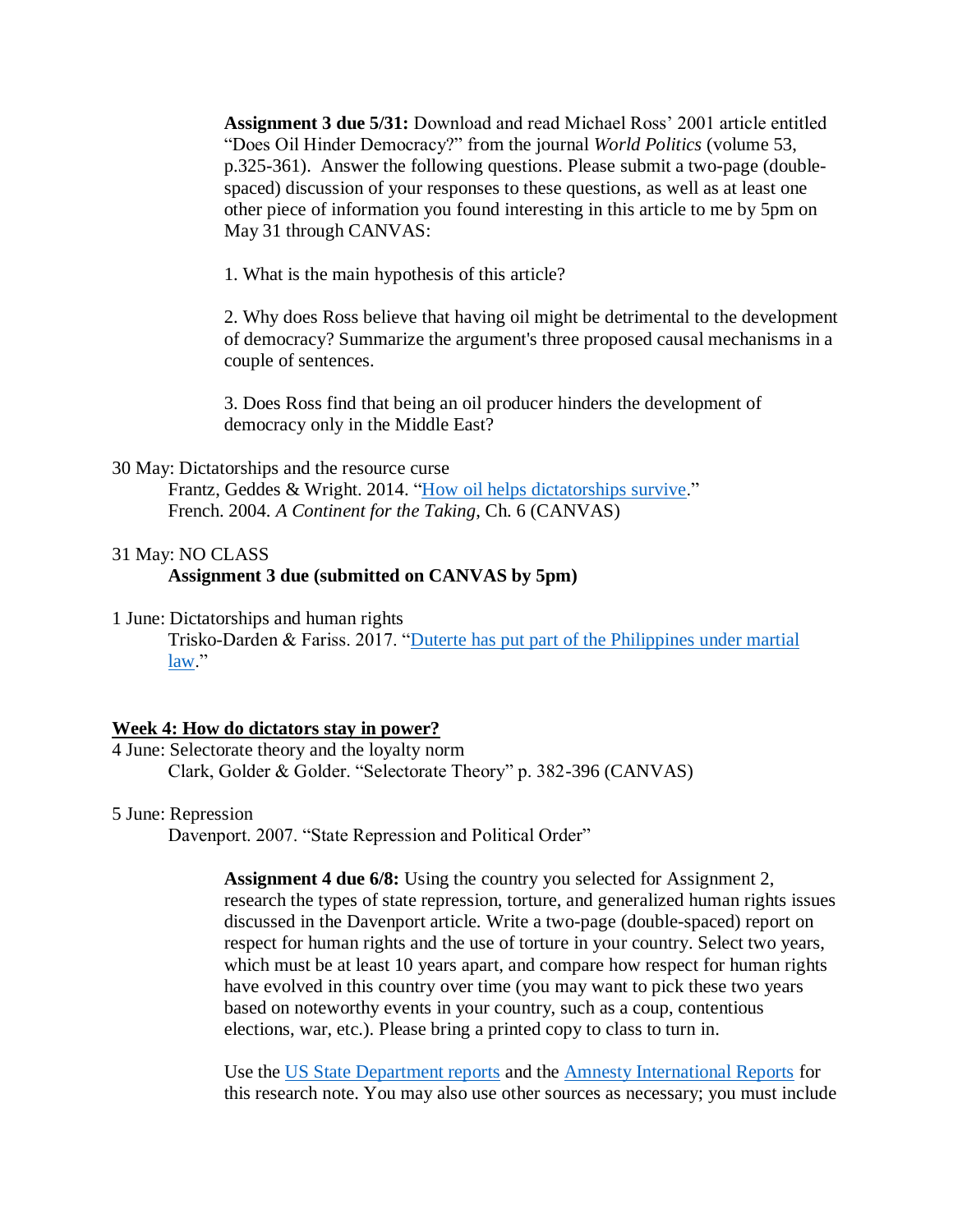**Assignment 3 due 5/31:** Download and read Michael Ross' 2001 article entitled "Does Oil Hinder Democracy?" from the journal *World Politics* (volume 53, p.325-361). Answer the following questions. Please submit a two-page (doublespaced) discussion of your responses to these questions, as well as at least one other piece of information you found interesting in this article to me by 5pm on May 31 through CANVAS:

1. What is the main hypothesis of this article?

2. Why does Ross believe that having oil might be detrimental to the development of democracy? Summarize the argument's three proposed causal mechanisms in a couple of sentences.

3. Does Ross find that being an oil producer hinders the development of democracy only in the Middle East?

30 May: Dictatorships and the resource curse

Frantz, Geddes & Wright. 2014. ["How oil helps dictatorships survive.](https://www.washingtonpost.com/news/monkey-cage/wp/2014/06/17/how-oil-helps-dictatorships-survive/?utm_term=.0014c844ed5f)" French. 2004. *A Continent for the Taking*, Ch. 6 (CANVAS)

#### 31 May: NO CLASS **Assignment 3 due (submitted on CANVAS by 5pm)**

1 June: Dictatorships and human rights Trisko-Darden & Fariss. 2017. "Duterte has put part of the Philippines under martial [law.](https://www.washingtonpost.com/news/monkey-cage/wp/2017/06/14/the-philippines-is-under-martial-law-heres-how-that-can-be-dangerous-for-democracy/?utm_term=.15386da02b09)"

#### **Week 4: How do dictators stay in power?**

4 June: Selectorate theory and the loyalty norm Clark, Golder & Golder. "Selectorate Theory" p. 382-396 (CANVAS)

5 June: Repression

Davenport. 2007. "State Repression and Political Order"

**Assignment 4 due 6/8:** Using the country you selected for Assignment 2, research the types of state repression, torture, and generalized human rights issues discussed in the Davenport article. Write a two-page (double-spaced) report on respect for human rights and the use of torture in your country. Select two years, which must be at least 10 years apart, and compare how respect for human rights have evolved in this country over time (you may want to pick these two years based on noteworthy events in your country, such as a coup, contentious elections, war, etc.). Please bring a printed copy to class to turn in.

Use the [US State Department reports](https://www.state.gov/j/drl/rls/hrrpt/humanrightsreport/index.htm#wrapper) and the [Amnesty International Reports](https://www.amnesty.org/en/countries/) for this research note. You may also use other sources as necessary; you must include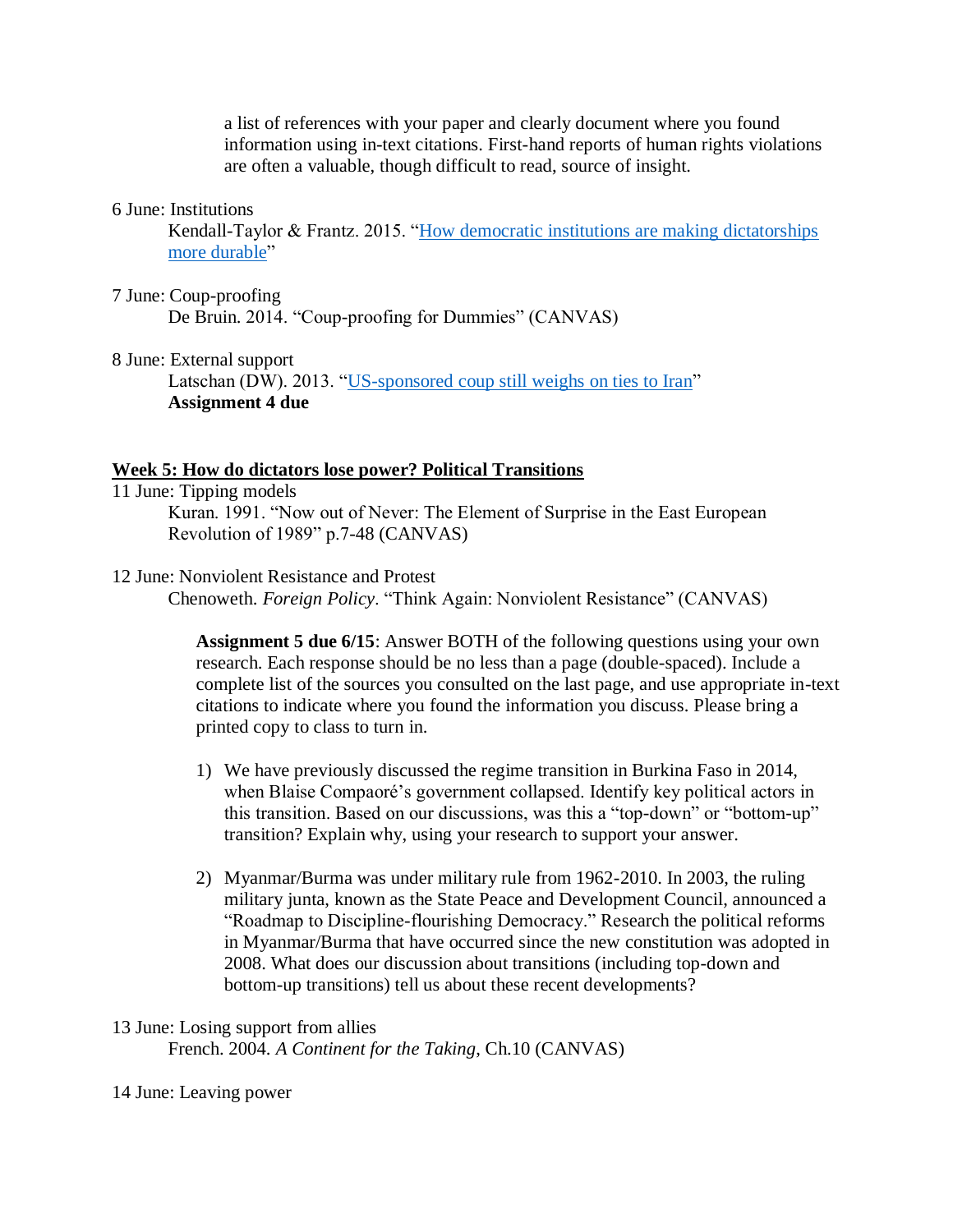a list of references with your paper and clearly document where you found information using in-text citations. First-hand reports of human rights violations are often a valuable, though difficult to read, source of insight.

#### 6 June: Institutions

Kendall-Taylor & Frantz. 2015. "How democratic institutions are making dictatorships [more durable"](https://www.washingtonpost.com/news/monkey-cage/wp/2015/03/19/how-democratic-institutions-are-making-dictatorships-more-durable/?noredirect=on&utm_term=.18c503fbe695)

- 7 June: Coup-proofing De Bruin. 2014. "Coup-proofing for Dummies" (CANVAS)
- 8 June: External support

Latschan (DW). 2013. ["US-sponsored coup still weighs on ties to Iran"](http://www.dw.com/en/us-sponsored-coup-still-weighs-on-ties-to-iran/a-17027805) **Assignment 4 due**

#### **Week 5: How do dictators lose power? Political Transitions**

- 11 June: Tipping models Kuran. 1991. "Now out of Never: The Element of Surprise in the East European Revolution of 1989" p.7-48 (CANVAS)
- 12 June: Nonviolent Resistance and Protest

Chenoweth. *Foreign Policy*. "Think Again: Nonviolent Resistance" (CANVAS)

**Assignment 5 due 6/15**: Answer BOTH of the following questions using your own research. Each response should be no less than a page (double-spaced). Include a complete list of the sources you consulted on the last page, and use appropriate in-text citations to indicate where you found the information you discuss. Please bring a printed copy to class to turn in.

- 1) We have previously discussed the regime transition in Burkina Faso in 2014, when Blaise Compaoré's government collapsed. Identify key political actors in this transition. Based on our discussions, was this a "top-down" or "bottom-up" transition? Explain why, using your research to support your answer.
- 2) Myanmar/Burma was under military rule from 1962-2010. In 2003, the ruling military junta, known as the State Peace and Development Council, announced a "Roadmap to Discipline-flourishing Democracy." Research the political reforms in Myanmar/Burma that have occurred since the new constitution was adopted in 2008. What does our discussion about transitions (including top-down and bottom-up transitions) tell us about these recent developments?

## 13 June: Losing support from allies French. 2004. *A Continent for the Taking*, Ch.10 (CANVAS)

14 June: Leaving power